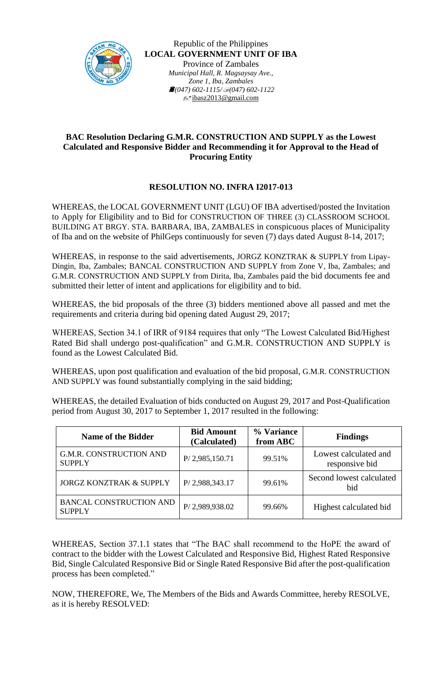

Republic of the Philippines **LOCAL GOVERNMENT UNIT OF IBA** Province of Zambales *Municipal Hall, R. Magsaysay Ave., Zone 1, Iba, Zambales (047) 602-1115/(047) 602-1122* ibasz2013@gmail.com

## **BAC Resolution Declaring G.M.R. CONSTRUCTION AND SUPPLY as the Lowest Calculated and Responsive Bidder and Recommending it for Approval to the Head of Procuring Entity**

## **RESOLUTION NO. INFRA I2017-013**

WHEREAS, the LOCAL GOVERNMENT UNIT (LGU) OF IBA advertised/posted the Invitation to Apply for Eligibility and to Bid for CONSTRUCTION OF THREE (3) CLASSROOM SCHOOL BUILDING AT BRGY. STA. BARBARA, IBA, ZAMBALES in conspicuous places of Municipality of Iba and on the website of PhilGeps continuously for seven (7) days dated August 8-14, 2017;

WHEREAS, in response to the said advertisements, JORGZ KONZTRAK & SUPPLY from Lipay-Dingin, Iba, Zambales; BANCAL CONSTRUCTION AND SUPPLY from Zone V, Iba, Zambales; and G.M.R. CONSTRUCTION AND SUPPLY from Dirita, Iba, Zambales paid the bid documents fee and submitted their letter of intent and applications for eligibility and to bid.

WHEREAS, the bid proposals of the three (3) bidders mentioned above all passed and met the requirements and criteria during bid opening dated August 29, 2017;

WHEREAS, Section 34.1 of IRR of 9184 requires that only "The Lowest Calculated Bid/Highest Rated Bid shall undergo post-qualification" and G.M.R. CONSTRUCTION AND SUPPLY is found as the Lowest Calculated Bid.

WHEREAS, upon post qualification and evaluation of the bid proposal, G.M.R. CONSTRUCTION AND SUPPLY was found substantially complying in the said bidding;

WHEREAS, the detailed Evaluation of bids conducted on August 29, 2017 and Post-Qualification period from August 30, 2017 to September 1, 2017 resulted in the following:

| <b>Name of the Bidder</b>                       | <b>Bid Amount</b><br>(Calculated) | % Variance<br>from ABC | <b>Findings</b>                         |
|-------------------------------------------------|-----------------------------------|------------------------|-----------------------------------------|
| <b>G.M.R. CONSTRUCTION AND</b><br><b>SUPPLY</b> | P/ 2,985,150.71                   | 99.51%                 | Lowest calculated and<br>responsive bid |
| <b>JORGZ KONZTRAK &amp; SUPPLY</b>              | P/ 2,988,343.17                   | 99.61%                 | Second lowest calculated<br>bid         |
| <b>BANCAL CONSTRUCTION AND</b><br><b>SUPPLY</b> | P/2,989,938.02                    | 99.66%                 | Highest calculated bid                  |

WHEREAS, Section 37.1.1 states that "The BAC shall recommend to the HoPE the award of contract to the bidder with the Lowest Calculated and Responsive Bid, Highest Rated Responsive Bid, Single Calculated Responsive Bid or Single Rated Responsive Bid after the post-qualification process has been completed."

NOW, THEREFORE, We, The Members of the Bids and Awards Committee, hereby RESOLVE, as it is hereby RESOLVED: